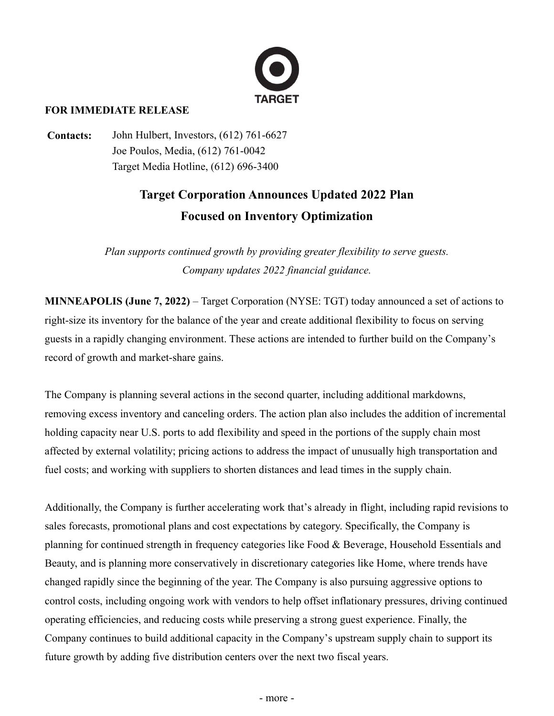

## **FOR IMMEDIATE RELEASE**

**Contacts:** John Hulbert, Investors, (612) 761-6627 Joe Poulos, Media, (612) 761-0042 Target Media Hotline, (612) 696-3400

# **Target Corporation Announces Updated 2022 Plan Focused on Inventory Optimization**

*Plan supports continued growth by providing greater flexibility to serve guests. Company updates 2022 financial guidance.*

**MINNEAPOLIS (June 7, 2022)** – Target Corporation (NYSE: TGT) today announced a set of actions to right-size its inventory for the balance of the year and create additional flexibility to focus on serving guests in a rapidly changing environment. These actions are intended to further build on the Company's record of growth and market-share gains.

The Company is planning several actions in the second quarter, including additional markdowns, removing excess inventory and canceling orders. The action plan also includes the addition of incremental holding capacity near U.S. ports to add flexibility and speed in the portions of the supply chain most affected by external volatility; pricing actions to address the impact of unusually high transportation and fuel costs; and working with suppliers to shorten distances and lead times in the supply chain.

Additionally, the Company is further accelerating work that's already in flight, including rapid revisions to sales forecasts, promotional plans and cost expectations by category. Specifically, the Company is planning for continued strength in frequency categories like Food & Beverage, Household Essentials and Beauty, and is planning more conservatively in discretionary categories like Home, where trends have changed rapidly since the beginning of the year. The Company is also pursuing aggressive options to control costs, including ongoing work with vendors to help offset inflationary pressures, driving continued operating efficiencies, and reducing costs while preserving a strong guest experience. Finally, the Company continues to build additional capacity in the Company's upstream supply chain to support its future growth by adding five distribution centers over the next two fiscal years.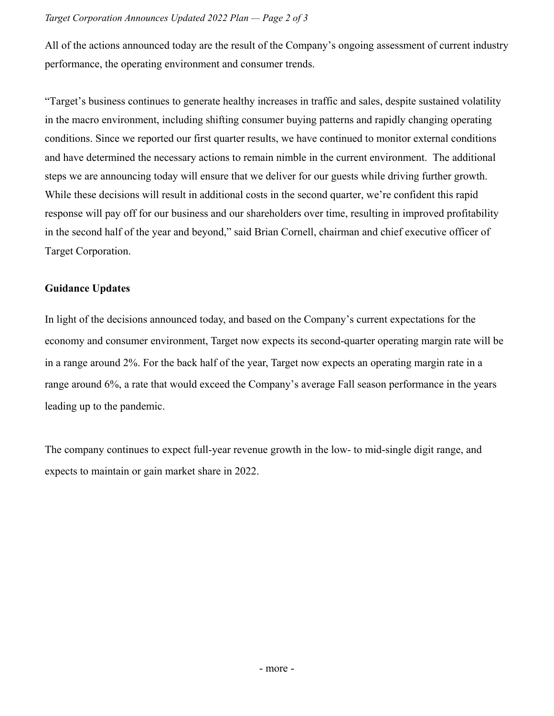All of the actions announced today are the result of the Company's ongoing assessment of current industry performance, the operating environment and consumer trends.

"Target's business continues to generate healthy increases in traffic and sales, despite sustained volatility in the macro environment, including shifting consumer buying patterns and rapidly changing operating conditions. Since we reported our first quarter results, we have continued to monitor external conditions and have determined the necessary actions to remain nimble in the current environment. The additional steps we are announcing today will ensure that we deliver for our guests while driving further growth. While these decisions will result in additional costs in the second quarter, we're confident this rapid response will pay off for our business and our shareholders over time, resulting in improved profitability in the second half of the year and beyond," said Brian Cornell, chairman and chief executive officer of Target Corporation.

## **Guidance Updates**

In light of the decisions announced today, and based on the Company's current expectations for the economy and consumer environment, Target now expects its second-quarter operating margin rate will be in a range around 2%. For the back half of the year, Target now expects an operating margin rate in a range around 6%, a rate that would exceed the Company's average Fall season performance in the years leading up to the pandemic.

The company continues to expect full-year revenue growth in the low- to mid-single digit range, and expects to maintain or gain market share in 2022.